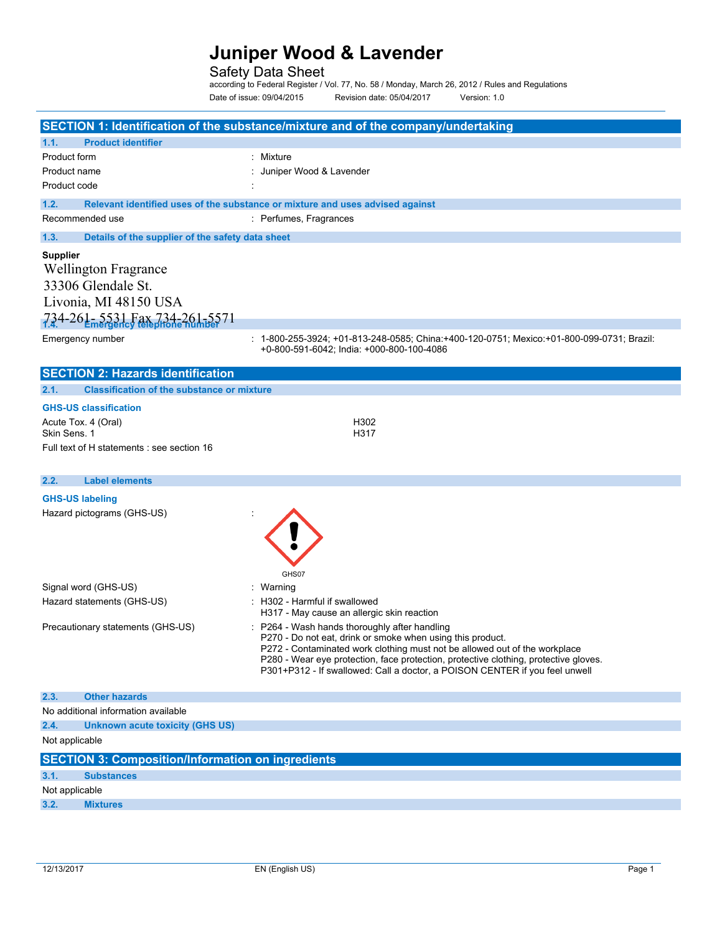Safety Data Sheet

according to Federal Register / Vol. 77, No. 58 / Monday, March 26, 2012 / Rules and Regulations Date of issue: 09/04/2015 Revision date: 05/04/2017 Version: 1.0

| SECTION 1: Identification of the substance/mixture and of the company/undertaking |                                                                                                                         |                                                                                                                                                                                                                                                                                                                                                                                                                |  |
|-----------------------------------------------------------------------------------|-------------------------------------------------------------------------------------------------------------------------|----------------------------------------------------------------------------------------------------------------------------------------------------------------------------------------------------------------------------------------------------------------------------------------------------------------------------------------------------------------------------------------------------------------|--|
| 1.1.                                                                              | <b>Product identifier</b>                                                                                               |                                                                                                                                                                                                                                                                                                                                                                                                                |  |
| Product form                                                                      |                                                                                                                         | Mixture                                                                                                                                                                                                                                                                                                                                                                                                        |  |
| Product name                                                                      |                                                                                                                         | Juniper Wood & Lavender                                                                                                                                                                                                                                                                                                                                                                                        |  |
| Product code                                                                      |                                                                                                                         |                                                                                                                                                                                                                                                                                                                                                                                                                |  |
| 1.2.                                                                              |                                                                                                                         | Relevant identified uses of the substance or mixture and uses advised against                                                                                                                                                                                                                                                                                                                                  |  |
|                                                                                   | Recommended use                                                                                                         | : Perfumes, Fragrances                                                                                                                                                                                                                                                                                                                                                                                         |  |
| 1.3.                                                                              | Details of the supplier of the safety data sheet                                                                        |                                                                                                                                                                                                                                                                                                                                                                                                                |  |
| <b>Supplier</b>                                                                   | <b>Wellington Fragrance</b><br>33306 Glendale St.<br>Livonia, MI 48150 USA<br>$734 - 261 - 5531$ Fax $734 - 261 - 5571$ |                                                                                                                                                                                                                                                                                                                                                                                                                |  |
|                                                                                   | Emergency number                                                                                                        | : 1-800-255-3924; +01-813-248-0585; China:+400-120-0751; Mexico:+01-800-099-0731; Brazil:<br>+0-800-591-6042; India: +000-800-100-4086                                                                                                                                                                                                                                                                         |  |
|                                                                                   | <b>SECTION 2: Hazards identification</b>                                                                                |                                                                                                                                                                                                                                                                                                                                                                                                                |  |
| 2.1.                                                                              | <b>Classification of the substance or mixture</b>                                                                       |                                                                                                                                                                                                                                                                                                                                                                                                                |  |
|                                                                                   | <b>GHS-US classification</b>                                                                                            |                                                                                                                                                                                                                                                                                                                                                                                                                |  |
| Acute Tox. 4 (Oral)<br>Skin Sens. 1                                               |                                                                                                                         | H302<br>H317                                                                                                                                                                                                                                                                                                                                                                                                   |  |
|                                                                                   | Full text of H statements : see section 16                                                                              |                                                                                                                                                                                                                                                                                                                                                                                                                |  |
|                                                                                   |                                                                                                                         |                                                                                                                                                                                                                                                                                                                                                                                                                |  |
| 2.2.                                                                              | <b>Label elements</b>                                                                                                   |                                                                                                                                                                                                                                                                                                                                                                                                                |  |
| <b>GHS-US labeling</b>                                                            |                                                                                                                         |                                                                                                                                                                                                                                                                                                                                                                                                                |  |
|                                                                                   | Hazard pictograms (GHS-US)                                                                                              | GHS07                                                                                                                                                                                                                                                                                                                                                                                                          |  |
|                                                                                   | Signal word (GHS-US)                                                                                                    | Warning                                                                                                                                                                                                                                                                                                                                                                                                        |  |
|                                                                                   | Hazard statements (GHS-US)                                                                                              | H302 - Harmful if swallowed                                                                                                                                                                                                                                                                                                                                                                                    |  |
|                                                                                   | Precautionary statements (GHS-US)                                                                                       | H317 - May cause an allergic skin reaction<br>: P264 - Wash hands thoroughly after handling<br>P270 - Do not eat, drink or smoke when using this product.<br>P272 - Contaminated work clothing must not be allowed out of the workplace<br>P280 - Wear eye protection, face protection, protective clothing, protective gloves.<br>P301+P312 - If swallowed: Call a doctor, a POISON CENTER if you feel unwell |  |
| 2.3.                                                                              | <b>Other hazards</b>                                                                                                    |                                                                                                                                                                                                                                                                                                                                                                                                                |  |
|                                                                                   | No additional information available                                                                                     |                                                                                                                                                                                                                                                                                                                                                                                                                |  |
| 2.4.                                                                              | Unknown acute toxicity (GHS US)                                                                                         |                                                                                                                                                                                                                                                                                                                                                                                                                |  |
| Not applicable                                                                    |                                                                                                                         |                                                                                                                                                                                                                                                                                                                                                                                                                |  |
|                                                                                   | <b>SECTION 3: Composition/Information on ingredients</b>                                                                |                                                                                                                                                                                                                                                                                                                                                                                                                |  |
| 3.1.                                                                              | <b>Substances</b>                                                                                                       |                                                                                                                                                                                                                                                                                                                                                                                                                |  |
| Not applicable                                                                    |                                                                                                                         |                                                                                                                                                                                                                                                                                                                                                                                                                |  |
| 3.2.                                                                              | <b>Mixtures</b>                                                                                                         |                                                                                                                                                                                                                                                                                                                                                                                                                |  |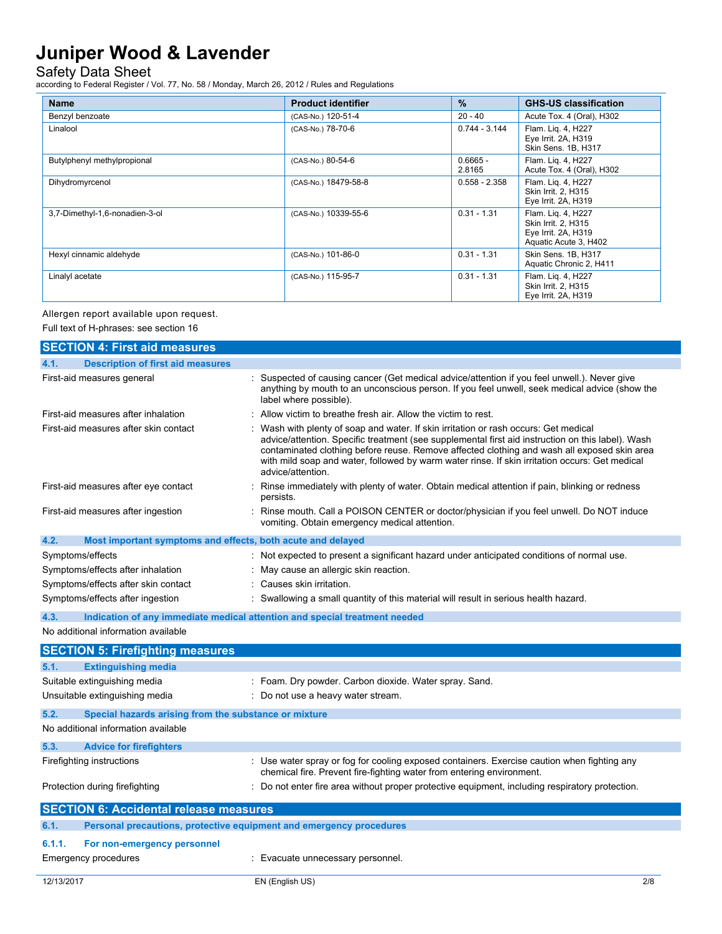Safety Data Sheet

according to Federal Register / Vol. 77, No. 58 / Monday, March 26, 2012 / Rules and Regulations

| <b>Name</b>                    | <b>Product identifier</b> | $\frac{9}{6}$        | <b>GHS-US classification</b>                                                              |
|--------------------------------|---------------------------|----------------------|-------------------------------------------------------------------------------------------|
| Benzyl benzoate                | (CAS-No.) 120-51-4        | $20 - 40$            | Acute Tox. 4 (Oral), H302                                                                 |
| Linalool                       | (CAS-No.) 78-70-6         | $0.744 - 3.144$      | Flam. Lig. 4, H227<br>Eye Irrit. 2A, H319<br>Skin Sens. 1B, H317                          |
| Butylphenyl methylpropional    | (CAS-No.) 80-54-6         | $0.6665 -$<br>2.8165 | Flam. Lig. 4, H227<br>Acute Tox. 4 (Oral), H302                                           |
| Dihydromyrcenol                | (CAS-No.) 18479-58-8      | $0.558 - 2.358$      | Flam. Lig. 4, H227<br>Skin Irrit. 2, H315<br>Eye Irrit. 2A, H319                          |
| 3,7-Dimethyl-1,6-nonadien-3-ol | (CAS-No.) 10339-55-6      | $0.31 - 1.31$        | Flam. Lig. 4, H227<br>Skin Irrit. 2. H315<br>Eye Irrit. 2A, H319<br>Aquatic Acute 3, H402 |
| Hexyl cinnamic aldehyde        | (CAS-No.) 101-86-0        | $0.31 - 1.31$        | Skin Sens. 1B, H317<br>Aquatic Chronic 2, H411                                            |
| Linalyl acetate                | (CAS-No.) 115-95-7        | $0.31 - 1.31$        | Flam. Lig. 4, H227<br>Skin Irrit. 2, H315<br>Eye Irrit. 2A, H319                          |

Allergen report available upon request. Full text of H-phrases: see section 16

| <b>SECTION 4: First aid measures</b>                                |                                                                                                                                                                                                                                                                                                                                                                                                                |  |
|---------------------------------------------------------------------|----------------------------------------------------------------------------------------------------------------------------------------------------------------------------------------------------------------------------------------------------------------------------------------------------------------------------------------------------------------------------------------------------------------|--|
| <b>Description of first aid measures</b><br>4.1.                    |                                                                                                                                                                                                                                                                                                                                                                                                                |  |
| First-aid measures general                                          | : Suspected of causing cancer (Get medical advice/attention if you feel unwell.). Never give<br>anything by mouth to an unconscious person. If you feel unwell, seek medical advice (show the<br>label where possible).                                                                                                                                                                                        |  |
| First-aid measures after inhalation                                 | : Allow victim to breathe fresh air. Allow the victim to rest.                                                                                                                                                                                                                                                                                                                                                 |  |
| First-aid measures after skin contact                               | : Wash with plenty of soap and water. If skin irritation or rash occurs: Get medical<br>advice/attention. Specific treatment (see supplemental first aid instruction on this label). Wash<br>contaminated clothing before reuse. Remove affected clothing and wash all exposed skin area<br>with mild soap and water, followed by warm water rinse. If skin irritation occurs: Get medical<br>advice/attention |  |
| First-aid measures after eye contact                                | Rinse immediately with plenty of water. Obtain medical attention if pain, blinking or redness<br>persists.                                                                                                                                                                                                                                                                                                     |  |
| First-aid measures after ingestion                                  | : Rinse mouth. Call a POISON CENTER or doctor/physician if you feel unwell. Do NOT induce<br>vomiting. Obtain emergency medical attention.                                                                                                                                                                                                                                                                     |  |
| Most important symptoms and effects, both acute and delayed<br>4.2. |                                                                                                                                                                                                                                                                                                                                                                                                                |  |
| Symptoms/effects                                                    | : Not expected to present a significant hazard under anticipated conditions of normal use.                                                                                                                                                                                                                                                                                                                     |  |
| Symptoms/effects after inhalation                                   | : May cause an allergic skin reaction.                                                                                                                                                                                                                                                                                                                                                                         |  |
| Symptoms/effects after skin contact                                 | : Causes skin irritation.                                                                                                                                                                                                                                                                                                                                                                                      |  |
| Symptoms/effects after ingestion                                    | : Swallowing a small quantity of this material will result in serious health hazard.                                                                                                                                                                                                                                                                                                                           |  |
| 4.3.                                                                | Indication of any immediate medical attention and special treatment needed                                                                                                                                                                                                                                                                                                                                     |  |
| No additional information available                                 |                                                                                                                                                                                                                                                                                                                                                                                                                |  |
| <b>SECTION 5: Firefighting measures</b>                             |                                                                                                                                                                                                                                                                                                                                                                                                                |  |
| 5.1.<br><b>Extinguishing media</b>                                  |                                                                                                                                                                                                                                                                                                                                                                                                                |  |

| Suitable extinguishing media   |                                                                     | : Foam. Dry powder. Carbon dioxide. Water spray. Sand.                                                                                                               |
|--------------------------------|---------------------------------------------------------------------|----------------------------------------------------------------------------------------------------------------------------------------------------------------------|
| Unsuitable extinguishing media |                                                                     | : Do not use a heavy water stream.                                                                                                                                   |
| 5.2.                           | Special hazards arising from the substance or mixture               |                                                                                                                                                                      |
|                                | No additional information available                                 |                                                                                                                                                                      |
| 5.3.                           | <b>Advice for firefighters</b>                                      |                                                                                                                                                                      |
|                                | Firefighting instructions                                           | : Use water spray or fog for cooling exposed containers. Exercise caution when fighting any<br>chemical fire. Prevent fire-fighting water from entering environment. |
|                                | Protection during firefighting                                      | : Do not enter fire area without proper protective equipment, including respiratory protection.                                                                      |
|                                | <b>SECTION 6: Accidental release measures</b>                       |                                                                                                                                                                      |
| 6.1.                           | Personal precautions, protective equipment and emergency procedures |                                                                                                                                                                      |
| 6.1.1.                         | For non-emergency personnel                                         |                                                                                                                                                                      |
|                                | Emergency procedures                                                | : Evacuate unnecessary personnel.                                                                                                                                    |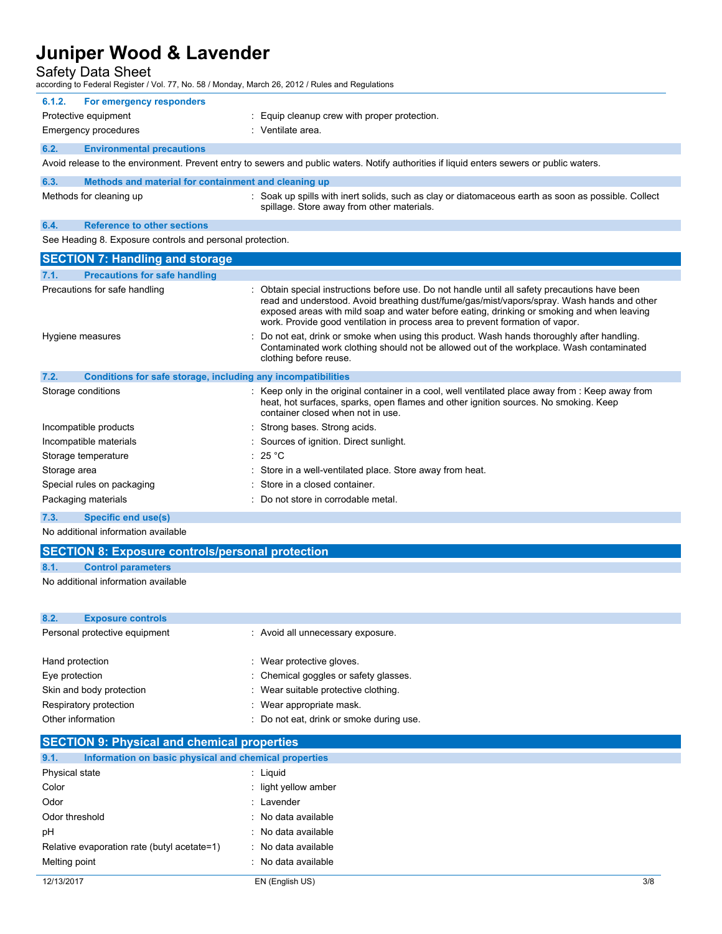Safety Data Sheet

| according to Federal Register / Vol. 77, No. 58 / Monday, March 26, 2012 / Rules and Regulations |                                                                                                                                                                                                                                                                                                                                                                             |  |
|--------------------------------------------------------------------------------------------------|-----------------------------------------------------------------------------------------------------------------------------------------------------------------------------------------------------------------------------------------------------------------------------------------------------------------------------------------------------------------------------|--|
| 6.1.2.<br>For emergency responders                                                               |                                                                                                                                                                                                                                                                                                                                                                             |  |
| Protective equipment                                                                             | : Equip cleanup crew with proper protection.                                                                                                                                                                                                                                                                                                                                |  |
| Emergency procedures                                                                             | : Ventilate area.                                                                                                                                                                                                                                                                                                                                                           |  |
| 6.2.<br><b>Environmental precautions</b>                                                         |                                                                                                                                                                                                                                                                                                                                                                             |  |
|                                                                                                  | Avoid release to the environment. Prevent entry to sewers and public waters. Notify authorities if liquid enters sewers or public waters.                                                                                                                                                                                                                                   |  |
| 6.3.                                                                                             | Methods and material for containment and cleaning up                                                                                                                                                                                                                                                                                                                        |  |
| Methods for cleaning up                                                                          | : Soak up spills with inert solids, such as clay or diatomaceous earth as soon as possible. Collect<br>spillage. Store away from other materials.                                                                                                                                                                                                                           |  |
| <b>Reference to other sections</b><br>6.4.                                                       |                                                                                                                                                                                                                                                                                                                                                                             |  |
| See Heading 8. Exposure controls and personal protection.                                        |                                                                                                                                                                                                                                                                                                                                                                             |  |
| <b>SECTION 7: Handling and storage</b>                                                           |                                                                                                                                                                                                                                                                                                                                                                             |  |
| <b>Precautions for safe handling</b><br>7.1.                                                     |                                                                                                                                                                                                                                                                                                                                                                             |  |
| Precautions for safe handling                                                                    | : Obtain special instructions before use. Do not handle until all safety precautions have been<br>read and understood. Avoid breathing dust/fume/gas/mist/vapors/spray. Wash hands and other<br>exposed areas with mild soap and water before eating, drinking or smoking and when leaving<br>work. Provide good ventilation in process area to prevent formation of vapor. |  |
| Hygiene measures                                                                                 | : Do not eat, drink or smoke when using this product. Wash hands thoroughly after handling.<br>Contaminated work clothing should not be allowed out of the workplace. Wash contaminated<br>clothing before reuse.                                                                                                                                                           |  |
| 7.2.                                                                                             | Conditions for safe storage, including any incompatibilities                                                                                                                                                                                                                                                                                                                |  |
| Storage conditions                                                                               | : Keep only in the original container in a cool, well ventilated place away from : Keep away from<br>heat, hot surfaces, sparks, open flames and other ignition sources. No smoking. Keep<br>container closed when not in use.                                                                                                                                              |  |
| Incompatible products                                                                            | : Strong bases. Strong acids.                                                                                                                                                                                                                                                                                                                                               |  |
| Incompatible materials                                                                           | : Sources of ignition. Direct sunlight.                                                                                                                                                                                                                                                                                                                                     |  |
| Storage temperature                                                                              | : $25^{\circ}$ C                                                                                                                                                                                                                                                                                                                                                            |  |
| Storage area                                                                                     | : Store in a well-ventilated place. Store away from heat.                                                                                                                                                                                                                                                                                                                   |  |
| Special rules on packaging                                                                       | Store in a closed container.                                                                                                                                                                                                                                                                                                                                                |  |
| Packaging materials                                                                              | Do not store in corrodable metal.                                                                                                                                                                                                                                                                                                                                           |  |

**7.3. Specific end use(s)**

No additional information available

|      | <b>SECTION 8: Exposure controls/personal protection</b> |
|------|---------------------------------------------------------|
| 8.1. | <b>Control parameters</b>                               |
|      | No additional information available                     |

| 8.2.<br><b>Exposure controls</b>                   |                                                       |  |
|----------------------------------------------------|-------------------------------------------------------|--|
| Personal protective equipment                      | : Avoid all unnecessary exposure.                     |  |
| Hand protection                                    | : Wear protective gloves.                             |  |
| Eye protection                                     | : Chemical goggles or safety glasses.                 |  |
| Skin and body protection                           | : Wear suitable protective clothing.                  |  |
| Respiratory protection                             | : Wear appropriate mask.                              |  |
| Other information                                  | : Do not eat, drink or smoke during use.              |  |
| <b>SECTION 9: Physical and chemical properties</b> |                                                       |  |
| 9.1.                                               | Information on basic physical and chemical properties |  |
| Physical state                                     | : Liquid                                              |  |
|                                                    |                                                       |  |

| Physical state                              | : Liguid             |
|---------------------------------------------|----------------------|
| Color                                       | : light yellow amber |
| Odor                                        | : Lavender           |
| Odor threshold                              | : No data available  |
| рH                                          | : No data available  |
| Relative evaporation rate (butyl acetate=1) | : No data available  |
| Melting point                               | : No data available  |
|                                             |                      |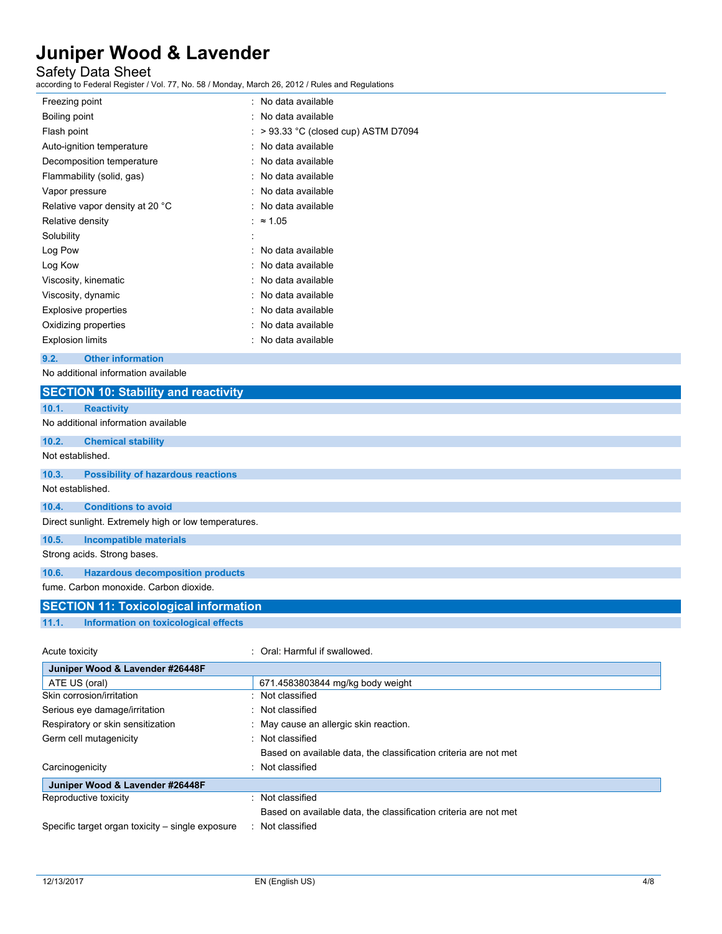### Safety Data Sheet

according to Federal Register / Vol. 77, No. 58 / Monday, March 26, 2012 / Rules and Regulations

| Freezing point                  | : No data available                    |
|---------------------------------|----------------------------------------|
| Boiling point                   | : No data available                    |
| Flash point                     | $:$ > 93.33 °C (closed cup) ASTM D7094 |
| Auto-ignition temperature       | : No data available                    |
| Decomposition temperature       | : No data available                    |
| Flammability (solid, gas)       | : No data available                    |
| Vapor pressure                  | : No data available                    |
| Relative vapor density at 20 °C | : No data available                    |
| Relative density                | : $\approx 1.05$                       |
| Solubility<br>×.                |                                        |
| Log Pow                         | : No data available                    |
| Log Kow                         | : No data available                    |
| Viscosity, kinematic            | : No data available                    |
| Viscosity, dynamic              | : No data available                    |
| <b>Explosive properties</b>     | : No data available                    |
| Oxidizing properties            | : No data available                    |
| <b>Explosion limits</b><br>÷    | No data available                      |

#### **9.2. Other information**

No additional information available

|                  | <b>SECTION 10: Stability and reactivity</b>          |                                  |  |
|------------------|------------------------------------------------------|----------------------------------|--|
| 10.1.            | <b>Reactivity</b>                                    |                                  |  |
|                  | No additional information available                  |                                  |  |
| 10.2.            | <b>Chemical stability</b>                            |                                  |  |
| Not established. |                                                      |                                  |  |
| 10.3.            | <b>Possibility of hazardous reactions</b>            |                                  |  |
| Not established. |                                                      |                                  |  |
| 10.4.            | <b>Conditions to avoid</b>                           |                                  |  |
|                  | Direct sunlight. Extremely high or low temperatures. |                                  |  |
| 10.5.            | <b>Incompatible materials</b>                        |                                  |  |
|                  | Strong acids. Strong bases.                          |                                  |  |
| 10.6.            | <b>Hazardous decomposition products</b>              |                                  |  |
|                  | fume. Carbon monoxide. Carbon dioxide.               |                                  |  |
|                  | <b>SECTION 11: Toxicological information</b>         |                                  |  |
| 11.1.            | Information on toxicological effects                 |                                  |  |
| Acute toxicity   |                                                      | : Oral: Harmful if swallowed.    |  |
|                  | Juniper Wood & Lavender #26448F                      |                                  |  |
|                  | ATE US (oral)                                        | 671.4583803844 mg/kg body weight |  |
|                  | Skin corrosion/irritation                            | : Not classified                 |  |
|                  | Containe also demonstration                          | المحتك المحاملة والملحلة         |  |

| Serious eye damage/irritation                    | : Not classified                                                 |
|--------------------------------------------------|------------------------------------------------------------------|
|                                                  |                                                                  |
| Respiratory or skin sensitization                | : May cause an allergic skin reaction.                           |
| Germ cell mutagenicity                           | : Not classified                                                 |
|                                                  | Based on available data, the classification criteria are not met |
| Carcinogenicity                                  | : Not classified                                                 |
| Juniper Wood & Lavender #26448F                  |                                                                  |
| Reproductive toxicity                            | : Not classified                                                 |
|                                                  | Based on available data, the classification criteria are not met |
| Specific target organ toxicity – single exposure | : Not classified                                                 |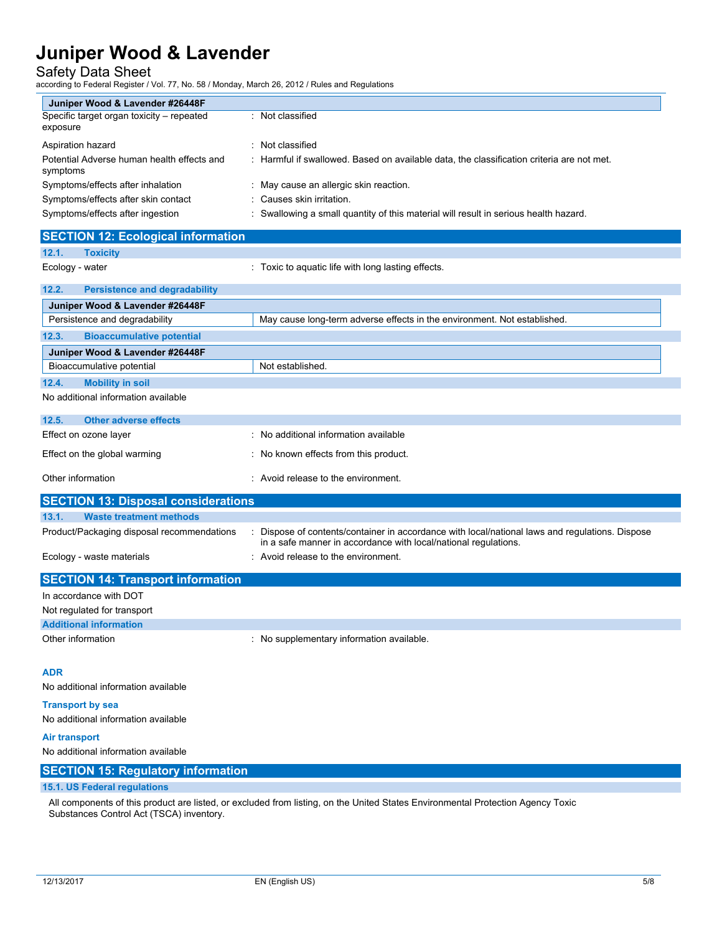Safety Data Sheet

according to Federal Register / Vol. 77, No. 58 / Monday, March 26, 2012 / Rules and Regulations

| Juniper Wood & Lavender #26448F                        |                                                                                           |
|--------------------------------------------------------|-------------------------------------------------------------------------------------------|
| Specific target organ toxicity - repeated<br>exposure  | : Not classified                                                                          |
| Aspiration hazard                                      | : Not classified                                                                          |
| Potential Adverse human health effects and<br>symptoms | : Harmful if swallowed. Based on available data, the classification criteria are not met. |
| Symptoms/effects after inhalation                      | : May cause an allergic skin reaction.                                                    |
| Symptoms/effects after skin contact                    | : Causes skin irritation.                                                                 |
| Symptoms/effects after ingestion                       | : Swallowing a small quantity of this material will result in serious health hazard.      |

| <b>SECTION 12: Ecological information</b>     |                                                                                                                                                                  |  |
|-----------------------------------------------|------------------------------------------------------------------------------------------------------------------------------------------------------------------|--|
| 12.1.<br><b>Toxicity</b>                      |                                                                                                                                                                  |  |
| Ecology - water                               | : Toxic to aquatic life with long lasting effects.                                                                                                               |  |
| 12.2.<br><b>Persistence and degradability</b> |                                                                                                                                                                  |  |
| Juniper Wood & Lavender #26448F               |                                                                                                                                                                  |  |
| Persistence and degradability                 | May cause long-term adverse effects in the environment. Not established.                                                                                         |  |
| 12.3.<br><b>Bioaccumulative potential</b>     |                                                                                                                                                                  |  |
| Juniper Wood & Lavender #26448F               |                                                                                                                                                                  |  |
| Bioaccumulative potential                     | Not established.                                                                                                                                                 |  |
| 12.4.<br><b>Mobility in soil</b>              |                                                                                                                                                                  |  |
| No additional information available           |                                                                                                                                                                  |  |
| 12.5.<br><b>Other adverse effects</b>         |                                                                                                                                                                  |  |
| Effect on ozone layer                         | : No additional information available                                                                                                                            |  |
| Effect on the global warming                  | : No known effects from this product.                                                                                                                            |  |
| Other information                             | : Avoid release to the environment.                                                                                                                              |  |
| <b>SECTION 13: Disposal considerations</b>    |                                                                                                                                                                  |  |
| 13.1.<br><b>Waste treatment methods</b>       |                                                                                                                                                                  |  |
| Product/Packaging disposal recommendations    | Dispose of contents/container in accordance with local/national laws and regulations. Dispose<br>in a safe manner in accordance with local/national regulations. |  |
| Ecology - waste materials                     | : Avoid release to the environment.                                                                                                                              |  |
| <b>SECTION 14: Transport information</b>      |                                                                                                                                                                  |  |
| In accordance with DOT                        |                                                                                                                                                                  |  |
| Not regulated for transport                   |                                                                                                                                                                  |  |
| <b>Additional information</b>                 |                                                                                                                                                                  |  |
| Other information                             | : No supplementary information available.                                                                                                                        |  |
| <b>ADR</b>                                    |                                                                                                                                                                  |  |
| No additional information available           |                                                                                                                                                                  |  |
| <b>Transport by sea</b>                       |                                                                                                                                                                  |  |
| No additional information available           |                                                                                                                                                                  |  |
| <b>Air transport</b>                          |                                                                                                                                                                  |  |
| No additional information available           |                                                                                                                                                                  |  |
| <b>SECTION 15: Regulatory information</b>     |                                                                                                                                                                  |  |
| 15.1. US Federal regulations                  |                                                                                                                                                                  |  |
|                                               | All components of this product are listed, or excluded from listing, on the United States Environmental Protection Agency Toxic                                  |  |

Substances Control Act (TSCA) inventory.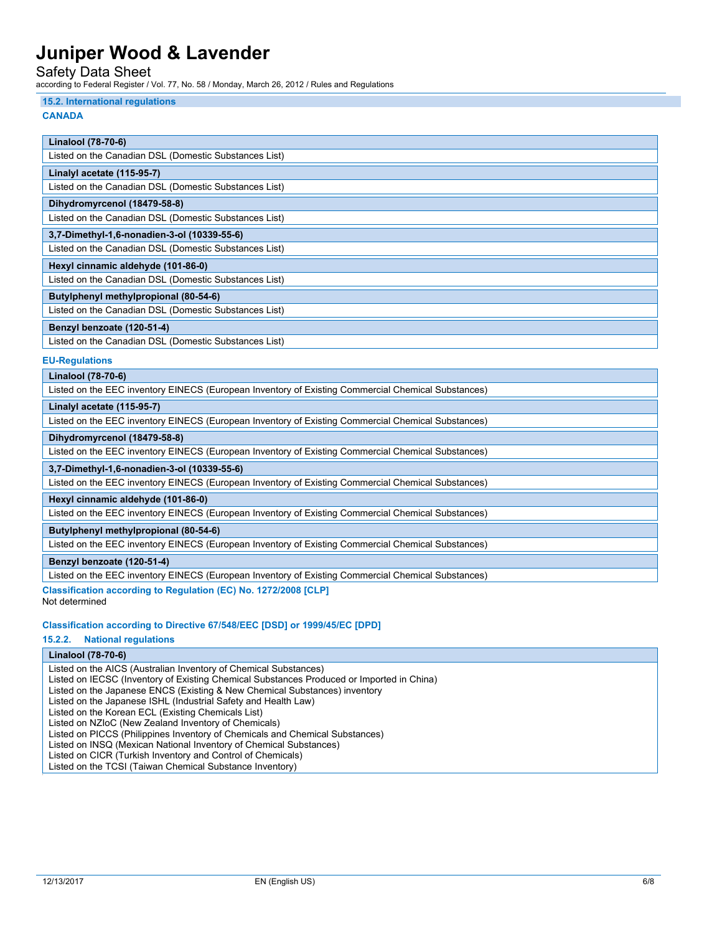### Safety Data Sheet

according to Federal Register / Vol. 77, No. 58 / Monday, March 26, 2012 / Rules and Regulations

#### **15.2. International regulations**

#### **CANADA**

| Linalool (78-70-6)                                    |  |  |  |
|-------------------------------------------------------|--|--|--|
| Listed on the Canadian DSL (Domestic Substances List) |  |  |  |
| Linalyl acetate (115-95-7)                            |  |  |  |
| Listed on the Canadian DSL (Domestic Substances List) |  |  |  |
| Dihydromyrcenol (18479-58-8)                          |  |  |  |
| Listed on the Canadian DSL (Domestic Substances List) |  |  |  |
| 3.7-Dimethyl-1.6-nonadien-3-ol (10339-55-6)           |  |  |  |
| Listed on the Canadian DSL (Domestic Substances List) |  |  |  |
| Hexyl cinnamic aldehyde (101-86-0)                    |  |  |  |
| Listed on the Canadian DSL (Domestic Substances List) |  |  |  |
| Butylphenyl methylpropional (80-54-6)                 |  |  |  |
| Listed on the Canadian DSL (Domestic Substances List) |  |  |  |
| Benzyl benzoate (120-51-4)                            |  |  |  |
| Listed on the Canadian DSL (Domestic Substances List) |  |  |  |

#### **EU-Regulations**

**Linalool (78-70-6)**

Listed on the EEC inventory EINECS (European Inventory of Existing Commercial Chemical Substances)

#### **Linalyl acetate (115-95-7)**

Listed on the EEC inventory EINECS (European Inventory of Existing Commercial Chemical Substances)

#### **Dihydromyrcenol (18479-58-8)**

Listed on the EEC inventory EINECS (European Inventory of Existing Commercial Chemical Substances)

#### **3,7-Dimethyl-1,6-nonadien-3-ol (10339-55-6)**

Listed on the EEC inventory EINECS (European Inventory of Existing Commercial Chemical Substances)

#### **Hexyl cinnamic aldehyde (101-86-0)**

Listed on the EEC inventory EINECS (European Inventory of Existing Commercial Chemical Substances)

#### **Butylphenyl methylpropional (80-54-6)**

Listed on the EEC inventory EINECS (European Inventory of Existing Commercial Chemical Substances)

#### **Benzyl benzoate (120-51-4)**

Listed on the EEC inventory EINECS (European Inventory of Existing Commercial Chemical Substances)

#### **Classification according to Regulation (EC) No. 1272/2008 [CLP]** Not determined

#### **Classification according to Directive 67/548/EEC [DSD] or 1999/45/EC [DPD]**

#### **15.2.2. National regulations**

#### **Linalool (78-70-6)**

Listed on the AICS (Australian Inventory of Chemical Substances) Listed on IECSC (Inventory of Existing Chemical Substances Produced or Imported in China) Listed on the Japanese ENCS (Existing & New Chemical Substances) inventory Listed on the Japanese ISHL (Industrial Safety and Health Law) Listed on the Korean ECL (Existing Chemicals List) Listed on NZIoC (New Zealand Inventory of Chemicals) Listed on PICCS (Philippines Inventory of Chemicals and Chemical Substances) Listed on INSQ (Mexican National Inventory of Chemical Substances) Listed on CICR (Turkish Inventory and Control of Chemicals) Listed on the TCSI (Taiwan Chemical Substance Inventory)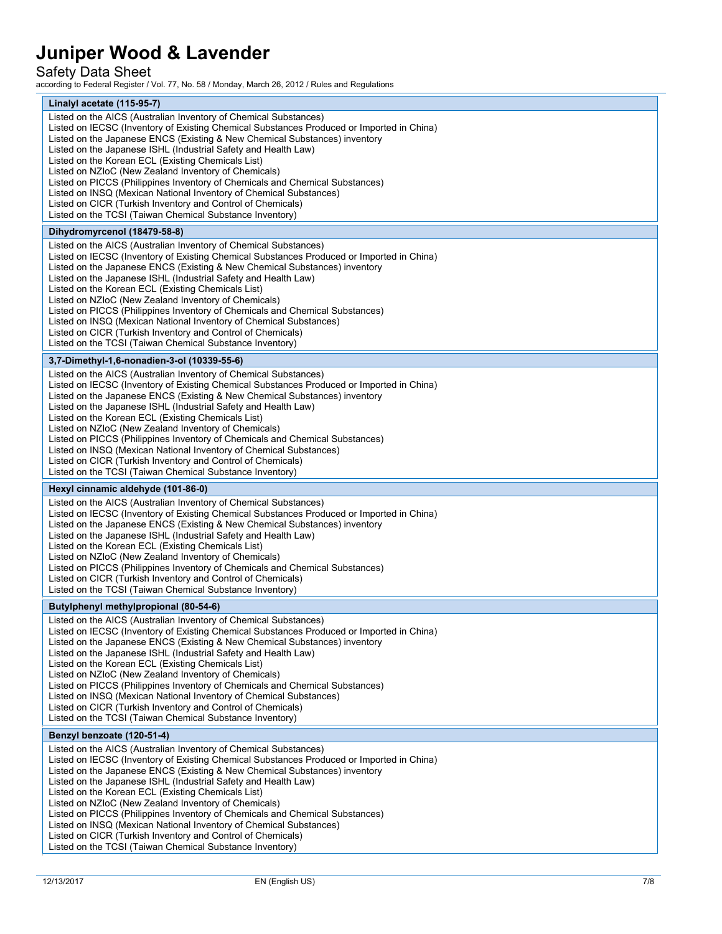### Safety Data Sheet

according to Federal Register / Vol. 77, No. 58 / Monday, March 26, 2012 / Rules and Regulations

| Linalyl acetate (115-95-7)                                                                                                                                                                                                                                                                                                                                                                                                                                                                                                                                                                                                                                                                                   |  |  |
|--------------------------------------------------------------------------------------------------------------------------------------------------------------------------------------------------------------------------------------------------------------------------------------------------------------------------------------------------------------------------------------------------------------------------------------------------------------------------------------------------------------------------------------------------------------------------------------------------------------------------------------------------------------------------------------------------------------|--|--|
| Listed on the AICS (Australian Inventory of Chemical Substances)<br>Listed on IECSC (Inventory of Existing Chemical Substances Produced or Imported in China)<br>Listed on the Japanese ENCS (Existing & New Chemical Substances) inventory<br>Listed on the Japanese ISHL (Industrial Safety and Health Law)<br>Listed on the Korean ECL (Existing Chemicals List)<br>Listed on NZIoC (New Zealand Inventory of Chemicals)                                                                                                                                                                                                                                                                                  |  |  |
| Listed on PICCS (Philippines Inventory of Chemicals and Chemical Substances)<br>Listed on INSQ (Mexican National Inventory of Chemical Substances)<br>Listed on CICR (Turkish Inventory and Control of Chemicals)<br>Listed on the TCSI (Taiwan Chemical Substance Inventory)                                                                                                                                                                                                                                                                                                                                                                                                                                |  |  |
| Dihydromyrcenol (18479-58-8)                                                                                                                                                                                                                                                                                                                                                                                                                                                                                                                                                                                                                                                                                 |  |  |
| Listed on the AICS (Australian Inventory of Chemical Substances)<br>Listed on IECSC (Inventory of Existing Chemical Substances Produced or Imported in China)<br>Listed on the Japanese ENCS (Existing & New Chemical Substances) inventory<br>Listed on the Japanese ISHL (Industrial Safety and Health Law)<br>Listed on the Korean ECL (Existing Chemicals List)<br>Listed on NZIoC (New Zealand Inventory of Chemicals)<br>Listed on PICCS (Philippines Inventory of Chemicals and Chemical Substances)<br>Listed on INSQ (Mexican National Inventory of Chemical Substances)<br>Listed on CICR (Turkish Inventory and Control of Chemicals)<br>Listed on the TCSI (Taiwan Chemical Substance Inventory) |  |  |
| 3,7-Dimethyl-1,6-nonadien-3-ol (10339-55-6)                                                                                                                                                                                                                                                                                                                                                                                                                                                                                                                                                                                                                                                                  |  |  |
| Listed on the AICS (Australian Inventory of Chemical Substances)<br>Listed on IECSC (Inventory of Existing Chemical Substances Produced or Imported in China)<br>Listed on the Japanese ENCS (Existing & New Chemical Substances) inventory<br>Listed on the Japanese ISHL (Industrial Safety and Health Law)<br>Listed on the Korean ECL (Existing Chemicals List)<br>Listed on NZIoC (New Zealand Inventory of Chemicals)<br>Listed on PICCS (Philippines Inventory of Chemicals and Chemical Substances)<br>Listed on INSQ (Mexican National Inventory of Chemical Substances)<br>Listed on CICR (Turkish Inventory and Control of Chemicals)<br>Listed on the TCSI (Taiwan Chemical Substance Inventory) |  |  |
| Hexyl cinnamic aldehyde (101-86-0)                                                                                                                                                                                                                                                                                                                                                                                                                                                                                                                                                                                                                                                                           |  |  |
| Listed on the AICS (Australian Inventory of Chemical Substances)<br>Listed on IECSC (Inventory of Existing Chemical Substances Produced or Imported in China)<br>Listed on the Japanese ENCS (Existing & New Chemical Substances) inventory<br>Listed on the Japanese ISHL (Industrial Safety and Health Law)<br>Listed on the Korean ECL (Existing Chemicals List)<br>Listed on NZIoC (New Zealand Inventory of Chemicals)<br>Listed on PICCS (Philippines Inventory of Chemicals and Chemical Substances)<br>Listed on CICR (Turkish Inventory and Control of Chemicals)<br>Listed on the TCSI (Taiwan Chemical Substance Inventory)                                                                       |  |  |
| Butylphenyl methylpropional (80-54-6)                                                                                                                                                                                                                                                                                                                                                                                                                                                                                                                                                                                                                                                                        |  |  |
| Listed on the AICS (Australian Inventory of Chemical Substances)<br>Listed on IECSC (Inventory of Existing Chemical Substances Produced or Imported in China)<br>Listed on the Japanese ENCS (Existing & New Chemical Substances) inventory<br>Listed on the Japanese ISHL (Industrial Safety and Health Law)<br>Listed on the Korean ECL (Existing Chemicals List)<br>Listed on NZIoC (New Zealand Inventory of Chemicals)<br>Listed on PICCS (Philippines Inventory of Chemicals and Chemical Substances)<br>Listed on INSQ (Mexican National Inventory of Chemical Substances)<br>Listed on CICR (Turkish Inventory and Control of Chemicals)<br>Listed on the TCSI (Taiwan Chemical Substance Inventory) |  |  |
| Benzyl benzoate (120-51-4)                                                                                                                                                                                                                                                                                                                                                                                                                                                                                                                                                                                                                                                                                   |  |  |
| Listed on the AICS (Australian Inventory of Chemical Substances)<br>Listed on IECSC (Inventory of Existing Chemical Substances Produced or Imported in China)<br>Listed on the Japanese ENCS (Existing & New Chemical Substances) inventory<br>Listed on the Japanese ISHL (Industrial Safety and Health Law)<br>Listed on the Korean ECL (Existing Chemicals List)<br>Listed on NZIoC (New Zealand Inventory of Chemicals)<br>Listed on PICCS (Philippines Inventory of Chemicals and Chemical Substances)<br>Listed on INSQ (Mexican National Inventory of Chemical Substances)<br>Listed on CICR (Turkish Inventory and Control of Chemicals)<br>Listed on the TCSI (Taiwan Chemical Substance Inventory) |  |  |